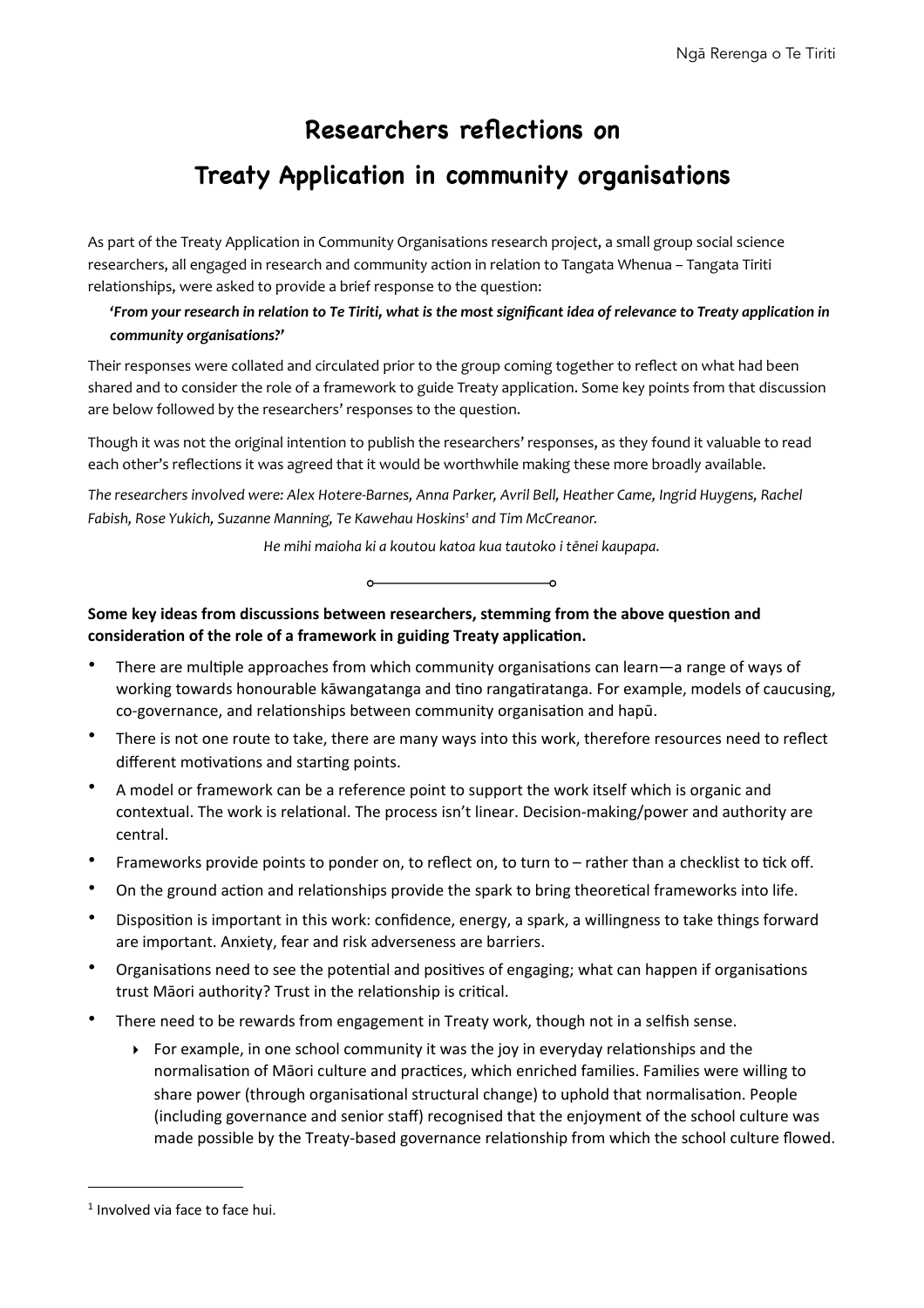# **Researchers reflections on**

# **Treaty Application in community organisations**

As part of the Treaty Application in Community Organisations research project, a small group social science researchers, all engaged in research and community action in relation to Tangata Whenua – Tangata Tiriti relationships, were asked to provide a brief response to the question:

# 'From your research in relation to Te Tiriti, what is the most significant idea of relevance to Treaty application in *community organisations?'*

Their responses were collated and circulated prior to the group coming together to reflect on what had been shared and to consider the role of a framework to guide Treaty application. Some key points from that discussion are below followed by the researchers' responses to the question.

Though it was not the original intention to publish the researchers' responses, as they found it valuable to read each other's reflections it was agreed that it would be worthwhile making these more broadly available.

The researchers involved were: Alex Hotere-Barnes, Anna Parker, Avril Bell, Heather Came, Ingrid Huygens, Rachel Fabish, Rose Yukich, Suzanne Manning, Te Kawehau Hoskins<sup>[1](#page-0-0)</sup> and Tim McCreanor.

He mihi maioha ki a koutou katoa kua tautoko i tēnei kaupapa.



# Some key ideas from discussions between researchers, stemming from the above question and consideration of the role of a framework in guiding Treaty application.

- There are multiple approaches from which community organisations can learn—a range of ways of working towards honourable kāwangatanga and tino rangatiratanga. For example, models of caucusing, co-governance, and relationships between community organisation and hapū.
- There is not one route to take, there are many ways into this work, therefore resources need to reflect different motivations and starting points.
- A model or framework can be a reference point to support the work itself which is organic and contextual. The work is relational. The process isn't linear. Decision-making/power and authority are central.
- Frameworks provide points to ponder on, to reflect on, to turn to rather than a checklist to tick off.
- On the ground action and relationships provide the spark to bring theoretical frameworks into life.
- Disposition is important in this work: confidence, energy, a spark, a willingness to take things forward are important. Anxiety, fear and risk adverseness are barriers.
- Organisations need to see the potential and positives of engaging; what can happen if organisations trust Māori authority? Trust in the relationship is critical.
- There need to be rewards from engagement in Treaty work, though not in a selfish sense.
	- $\triangleright$  For example, in one school community it was the joy in everyday relationships and the normalisation of Māori culture and practices, which enriched families. Families were willing to share power (through organisational structural change) to uphold that normalisation. People (including governance and senior staff) recognised that the enjoyment of the school culture was made possible by the Treaty-based governance relationship from which the school culture flowed.

<span id="page-0-0"></span> $1$  Involved via face to face hui.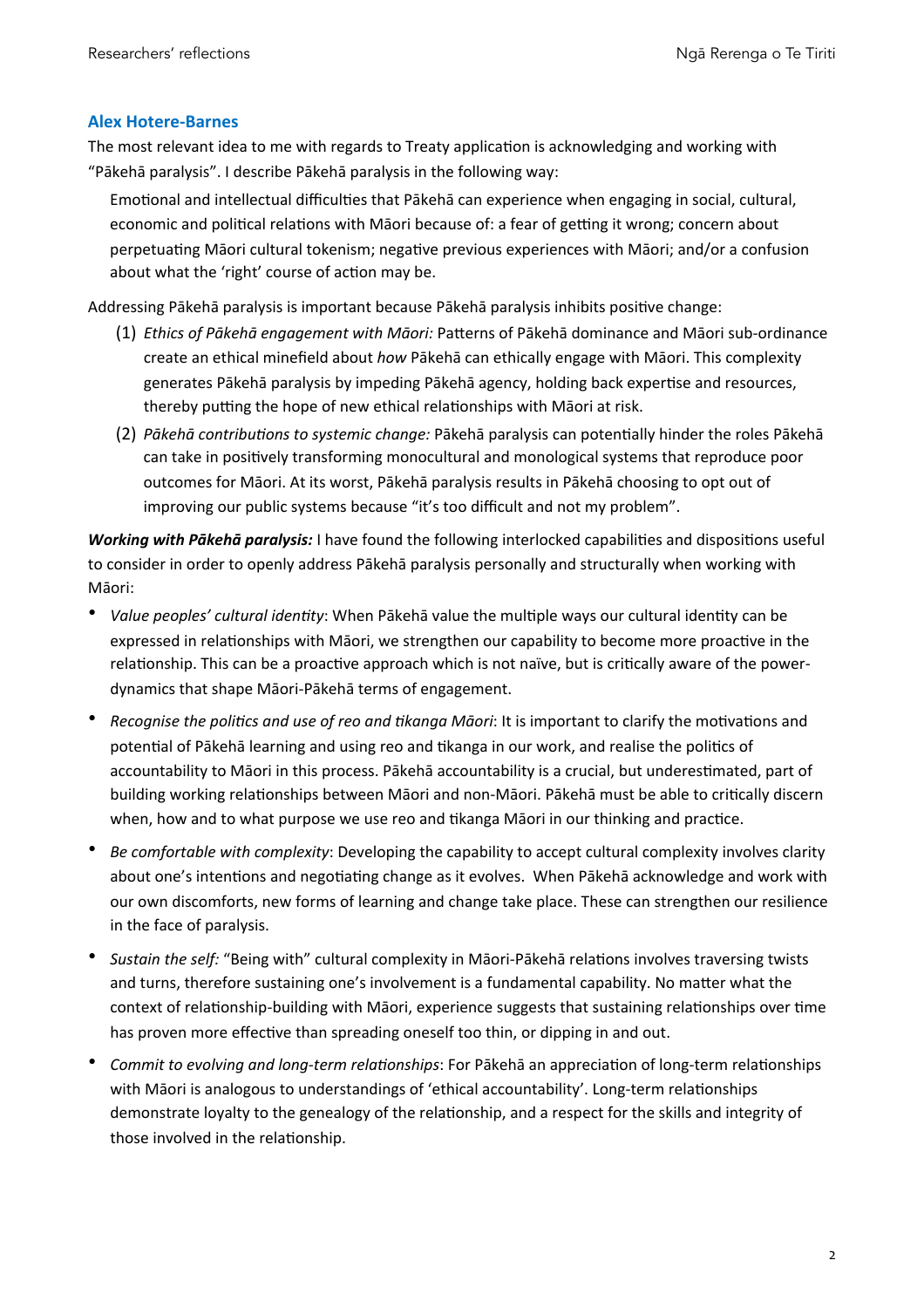# **Alex Hotere-Barnes**

The most relevant idea to me with regards to Treaty application is acknowledging and working with "Pākehā paralysis". I describe Pākehā paralysis in the following way:

Emotional and intellectual difficulties that Pākehā can experience when engaging in social, cultural, economic and political relations with Māori because of: a fear of getting it wrong; concern about perpetuating Māori cultural tokenism; negative previous experiences with Māori; and/or a confusion about what the 'right' course of action may be.

Addressing Pākehā paralysis is important because Pākehā paralysis inhibits positive change:

- (1) *Ethics of Pākehā engagement with Māori:* Pa[erns of Pākehā dominance and Māori sub-ordinance create an ethical minefield about how Pākehā can ethically engage with Māori. This complexity generates Pākehā paralysis by impeding Pākehā agency, holding back expertise and resources, thereby putting the hope of new ethical relationships with Māori at risk.
- (2) *Pākehā contributions to systemic change:* Pākehā paralysis can potentially hinder the roles Pākehā can take in positively transforming monocultural and monological systems that reproduce poor outcomes for Māori. At its worst, Pākehā paralysis results in Pākehā choosing to opt out of improving our public systems because "it's too difficult and not my problem".

*Working with Pākehā paralysis:* I have found the following interlocked capabilities and dispositions useful to consider in order to openly address Pākehā paralysis personally and structurally when working with Māori:

- *Value peoples' cultural identity*: When Pākehā value the multiple ways our cultural identity can be expressed in relationships with Māori, we strengthen our capability to become more proactive in the relationship. This can be a proactive approach which is not naïve, but is critically aware of the powerdynamics that shape Māori-Pākehā terms of engagement.
- *Recognise the politics and use of reo and tikanga Māori:* It is important to clarify the motivations and potential of Pākehā learning and using reo and tikanga in our work, and realise the politics of accountability to Māori in this process. Pākehā accountability is a crucial, but underestimated, part of building working relationships between Māori and non-Māori. Pākehā must be able to critically discern when, how and to what purpose we use reo and tikanga Māori in our thinking and practice.
- *Be comfortable with complexity*: Developing the capability to accept cultural complexity involves clarity about one's intentions and negotiating change as it evolves. When Pākehā acknowledge and work with our own discomforts, new forms of learning and change take place. These can strengthen our resilience in the face of paralysis.
- Sustain the self: "Being with" cultural complexity in Māori-Pākehā relations involves traversing twists and turns, therefore sustaining one's involvement is a fundamental capability. No matter what the context of relationship-building with Māori, experience suggests that sustaining relationships over time has proven more effective than spreading oneself too thin, or dipping in and out.
- *Commit to evolving and long-term relationships*: For Pākehā an appreciation of long-term relationships with Māori is analogous to understandings of 'ethical accountability'. Long-term relationships demonstrate loyalty to the genealogy of the relationship, and a respect for the skills and integrity of those involved in the relationship.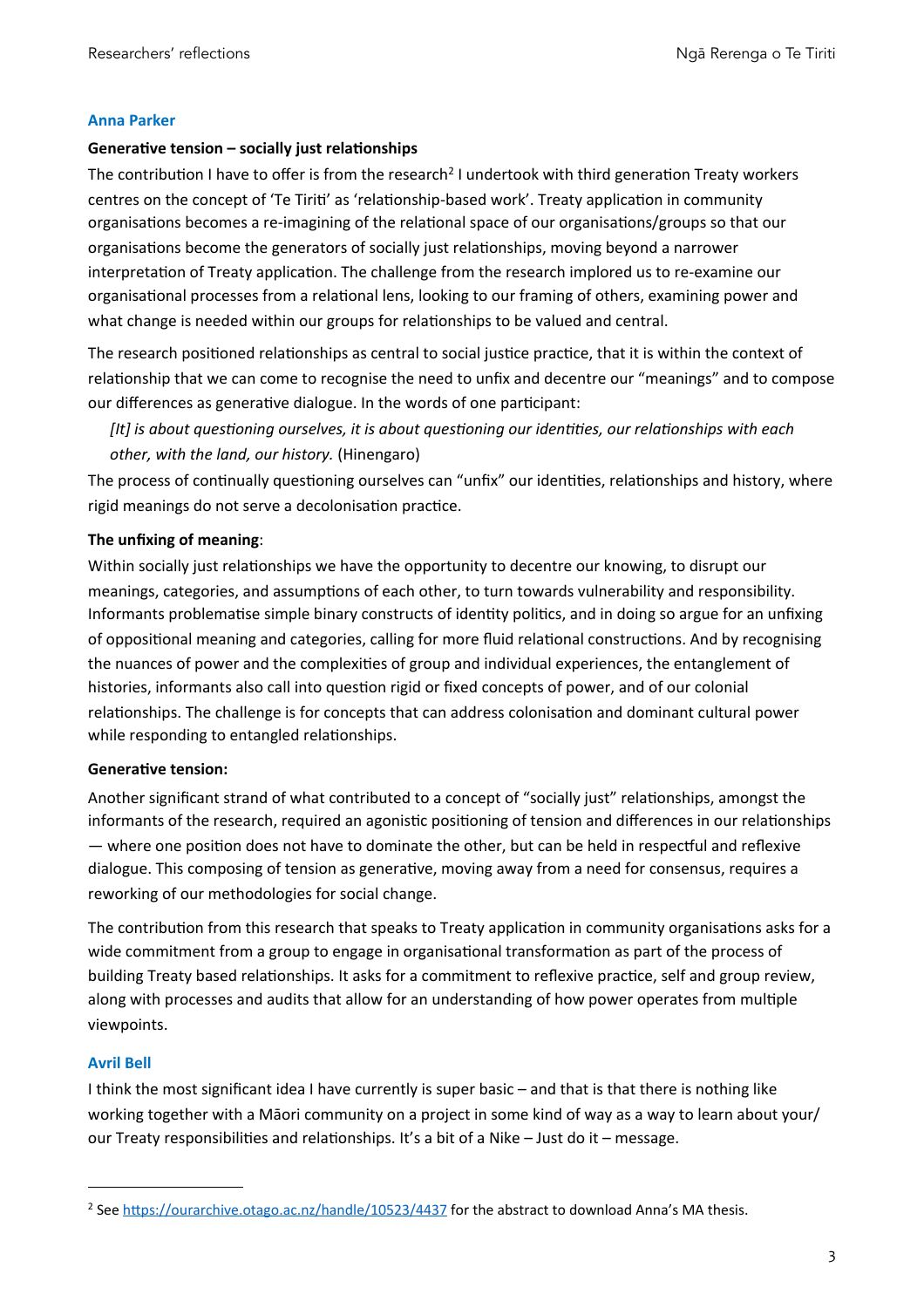### **Anna Parker**

### Generative tension - socially just relationships

The contribution I have to offer is from the research<sup>[2](#page-2-0)</sup> I undertook with third generation Treaty workers centres on the concept of 'Te Tiriti' as 'relationship-based work'. Treaty application in community organisations becomes a re-imagining of the relational space of our organisations/groups so that our organisations become the generators of socially just relationships, moving beyond a narrower interpretation of Treaty application. The challenge from the research implored us to re-examine our organisational processes from a relational lens, looking to our framing of others, examining power and what change is needed within our groups for relationships to be valued and central.

The research positioned relationships as central to social justice practice, that it is within the context of relationship that we can come to recognise the need to unfix and decentre our "meanings" and to compose our differences as generative dialogue. In the words of one participant:

*[It]* is about questioning ourselves, it is about questioning our identities, our relationships with each *other, with the land, our history.* (Hinengaro)

The process of continually questioning ourselves can "unfix" our identities, relationships and history, where rigid meanings do not serve a decolonisation practice.

# **The unfixing of meaning:**

Within socially just relationships we have the opportunity to decentre our knowing, to disrupt our meanings, categories, and assumptions of each other, to turn towards vulnerability and responsibility. Informants problematise simple binary constructs of identity politics, and in doing so argue for an unfixing of oppositional meaning and categories, calling for more fluid relational constructions. And by recognising the nuances of power and the complexities of group and individual experiences, the entanglement of histories, informants also call into question rigid or fixed concepts of power, and of our colonial relationships. The challenge is for concepts that can address colonisation and dominant cultural power while responding to entangled relationships.

#### **Generative tension:**

Another significant strand of what contributed to a concept of "socially just" relationships, amongst the informants of the research, required an agonistic positioning of tension and differences in our relationships — where one position does not have to dominate the other, but can be held in respectful and reflexive dialogue. This composing of tension as generative, moving away from a need for consensus, requires a reworking of our methodologies for social change.

The contribution from this research that speaks to Treaty application in community organisations asks for a wide commitment from a group to engage in organisational transformation as part of the process of building Treaty based relationships. It asks for a commitment to reflexive practice, self and group review, along with processes and audits that allow for an understanding of how power operates from multiple viewpoints.

#### **Avril Bell**

I think the most significant idea I have currently is super basic – and that is that there is nothing like working together with a Māori community on a project in some kind of way as a way to learn about your/ our Treaty responsibilities and relationships. It's a bit of a Nike – Just do it – message.

<span id="page-2-0"></span><sup>&</sup>lt;sup>2</sup> See https://ourarchive.otago.ac.nz/handle/10523/4437 for the abstract to download Anna's MA thesis.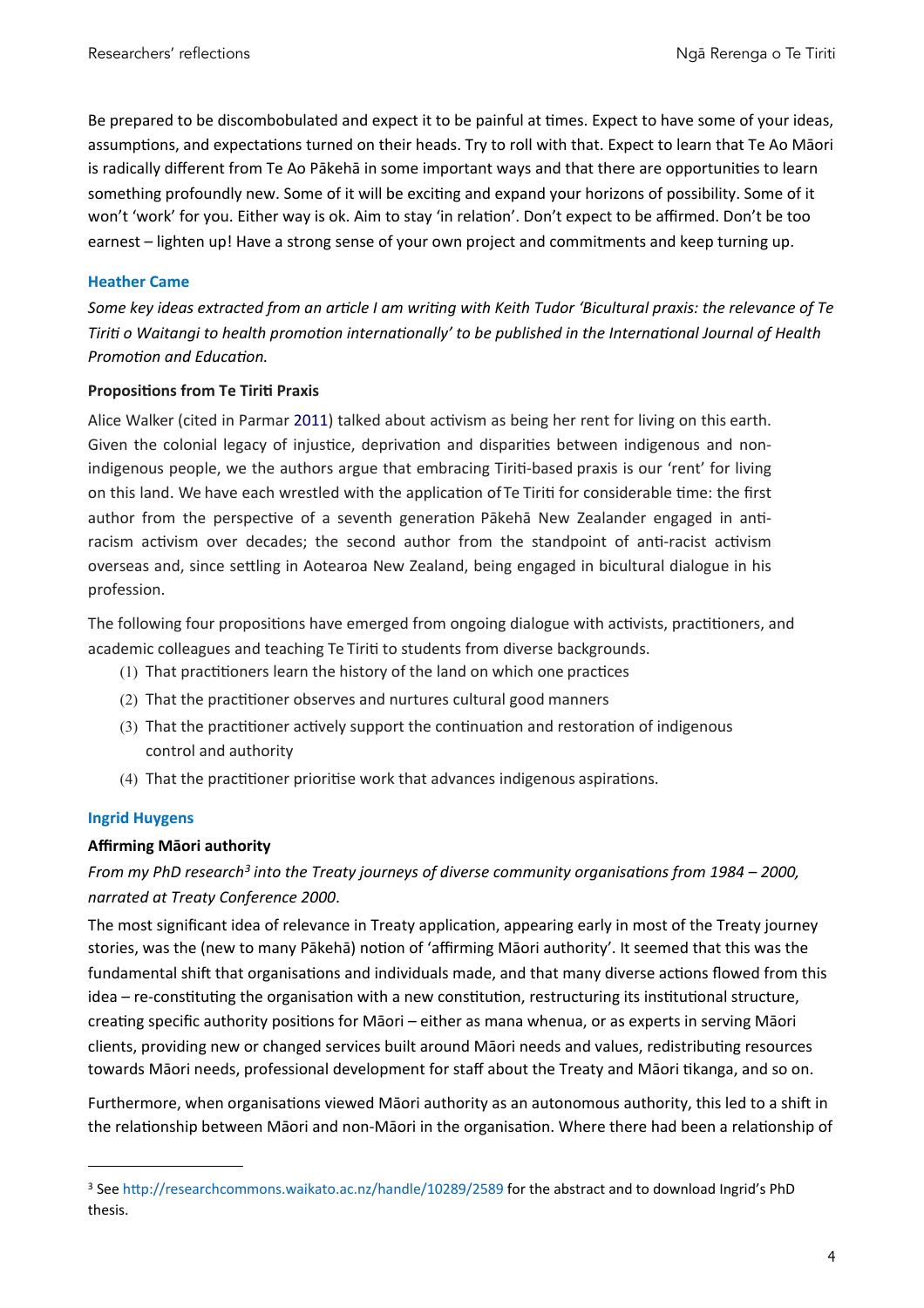Be prepared to be discombobulated and expect it to be painful at times. Expect to have some of your ideas, assumptions, and expectations turned on their heads. Try to roll with that. Expect to learn that Te Ao Māori is radically different from Te Ao Pākehā in some important ways and that there are opportunities to learn something profoundly new. Some of it will be exciting and expand your horizons of possibility. Some of it won't 'work' for you. Either way is ok. Aim to stay 'in relation'. Don't expect to be affirmed. Don't be too earnest – lighten up! Have a strong sense of your own project and commitments and keep turning up.

# **Heather Came**

Some key ideas extracted from an article I am writing with Keith Tudor 'Bicultural praxis: the relevance of Te *Tiriti o* Waitangi to health promotion internationally' to be published in the International Journal of Health **Promotion and Education.** 

#### **Propositions from Te Tiriti Praxis**

Alice Walker (cited in Parmar 2011) talked about activism as being her rent for living on this earth. Given the colonial legacy of injustice, deprivation and disparities between indigenous and nonindigenous people, we the authors argue that embracing Tiriti-based praxis is our 'rent' for living on this land. We have each wrestled with the application of Te Tiriti for considerable time: the first author from the perspective of a seventh generation Pākehā New Zealander engaged in antiracism activism over decades; the second author from the standpoint of anti-racist activism overseas and, since settling in Aotearoa New Zealand, being engaged in bicultural dialogue in his profession.

The following four propositions have emerged from ongoing dialogue with activists, practitioners, and academic colleagues and teaching Te Tiriti to students from diverse backgrounds.

- (1) That practitioners learn the history of the land on which one practices
- (2) That the practitioner observes and nurtures cultural good manners
- $(3)$  That the practitioner actively support the continuation and restoration of indigenous control and authority
- (4) That the practitioner prioritise work that advances indigenous aspirations.

#### **Ingrid Huygens**

#### **Affirming Māori authority**

# From my PhD research<sup>[3](#page-3-0)</sup> into the Treaty journeys of diverse community organisations from 1984 – 2000, *narrated at Treaty Conference 2000*.

The most significant idea of relevance in Treaty application, appearing early in most of the Treaty journey stories, was the (new to many Pākehā) notion of 'affirming Māori authority'. It seemed that this was the fundamental shift that organisations and individuals made, and that many diverse actions flowed from this  $idea - re\text{-}constituting the organisation with a new constitution, restricting its institutional structure,$ creating specific authority positions for Māori – either as mana whenua, or as experts in serving Māori clients, providing new or changed services built around Māori needs and values, redistributing resources towards Māori needs, professional development for staff about the Treaty and Māori tikanga, and so on.

Furthermore, when organisations viewed Māori authority as an autonomous authority, this led to a shift in the relationship between Māori and non-Māori in the organisation. Where there had been a relationship of

<span id="page-3-0"></span><sup>&</sup>lt;sup>3</sup> See http://researchcommons.waikato.ac.nz/handle/10289/2589 for the abstract and to download Ingrid's PhD thesis.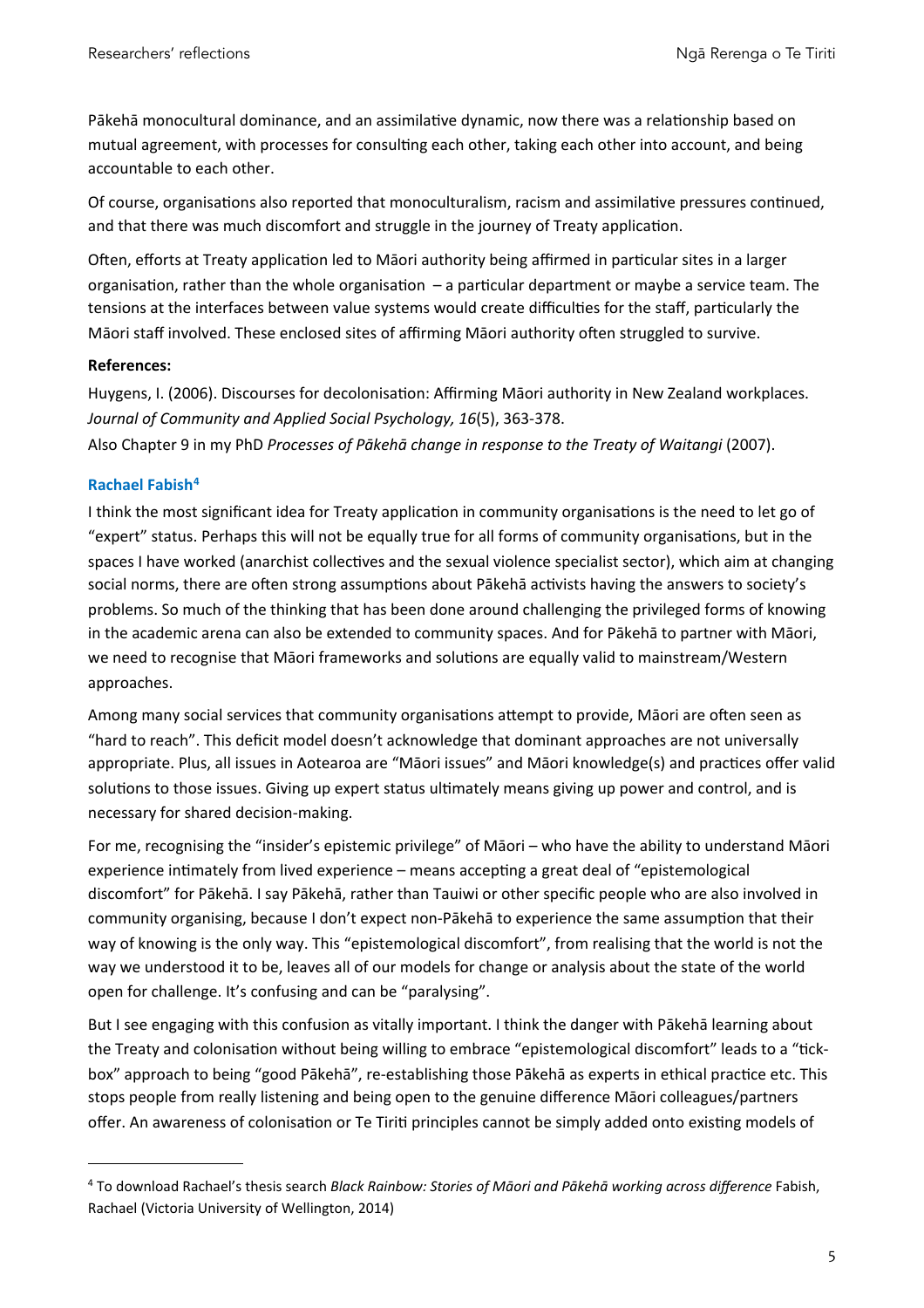Pākehā monocultural dominance, and an assimilative dynamic, now there was a relationship based on mutual agreement, with processes for consulting each other, taking each other into account, and being accountable to each other.

Of course, organisations also reported that monoculturalism, racism and assimilative pressures continued, and that there was much discomfort and struggle in the journey of Treaty application.

Often, efforts at Treaty application led to Māori authority being affirmed in particular sites in a larger organisation, rather than the whole organisation  $-$  a particular department or maybe a service team. The tensions at the interfaces between value systems would create difficulties for the staff, particularly the Māori staff involved. These enclosed sites of affirming Māori authority often struggled to survive.

# **References:**

Huygens, I. (2006). Discourses for decolonisation: Affirming Māori authority in New Zealand workplaces. Journal of Community and Applied Social Psychology, 16(5), 363-378.

Also Chapter 9 in my PhD Processes of Pākehā change in response to the Treaty of Waitangi (2007).

# **Rachael Fabish[4](#page-4-0)**

I think the most significant idea for Treaty application in community organisations is the need to let go of "expert" status. Perhaps this will not be equally true for all forms of community organisations, but in the spaces I have worked (anarchist collectives and the sexual violence specialist sector), which aim at changing social norms, there are often strong assumptions about Pākehā activists having the answers to society's problems. So much of the thinking that has been done around challenging the privileged forms of knowing in the academic arena can also be extended to community spaces. And for Pākehā to partner with Māori, we need to recognise that Māori frameworks and solutions are equally valid to mainstream/Western approaches. 

Among many social services that community organisations attempt to provide, Māori are often seen as "hard to reach". This deficit model doesn't acknowledge that dominant approaches are not universally appropriate. Plus, all issues in Aotearoa are "Māori issues" and Māori knowledge(s) and practices offer valid solutions to those issues. Giving up expert status ultimately means giving up power and control, and is necessary for shared decision-making.

For me, recognising the "insider's epistemic privilege" of Māori – who have the ability to understand Māori experience intimately from lived experience – means accepting a great deal of "epistemological discomfort" for Pākehā. I say Pākehā, rather than Tauiwi or other specific people who are also involved in community organising, because I don't expect non-Pākehā to experience the same assumption that their way of knowing is the only way. This "epistemological discomfort", from realising that the world is not the way we understood it to be, leaves all of our models for change or analysis about the state of the world open for challenge. It's confusing and can be "paralysing".

But I see engaging with this confusion as vitally important. I think the danger with Pākehā learning about the Treaty and colonisation without being willing to embrace "epistemological discomfort" leads to a "tickbox" approach to being "good Pākehā", re-establishing those Pākehā as experts in ethical practice etc. This stops people from really listening and being open to the genuine difference Māori colleagues/partners offer. An awareness of colonisation or Te Tiriti principles cannot be simply added onto existing models of

<span id="page-4-0"></span><sup>&</sup>lt;sup>4</sup> To download Rachael's thesis search *Black Rainbow: Stories of Māori and Pākehā working across difference* Fabish, Rachael (Victoria University of Wellington, 2014)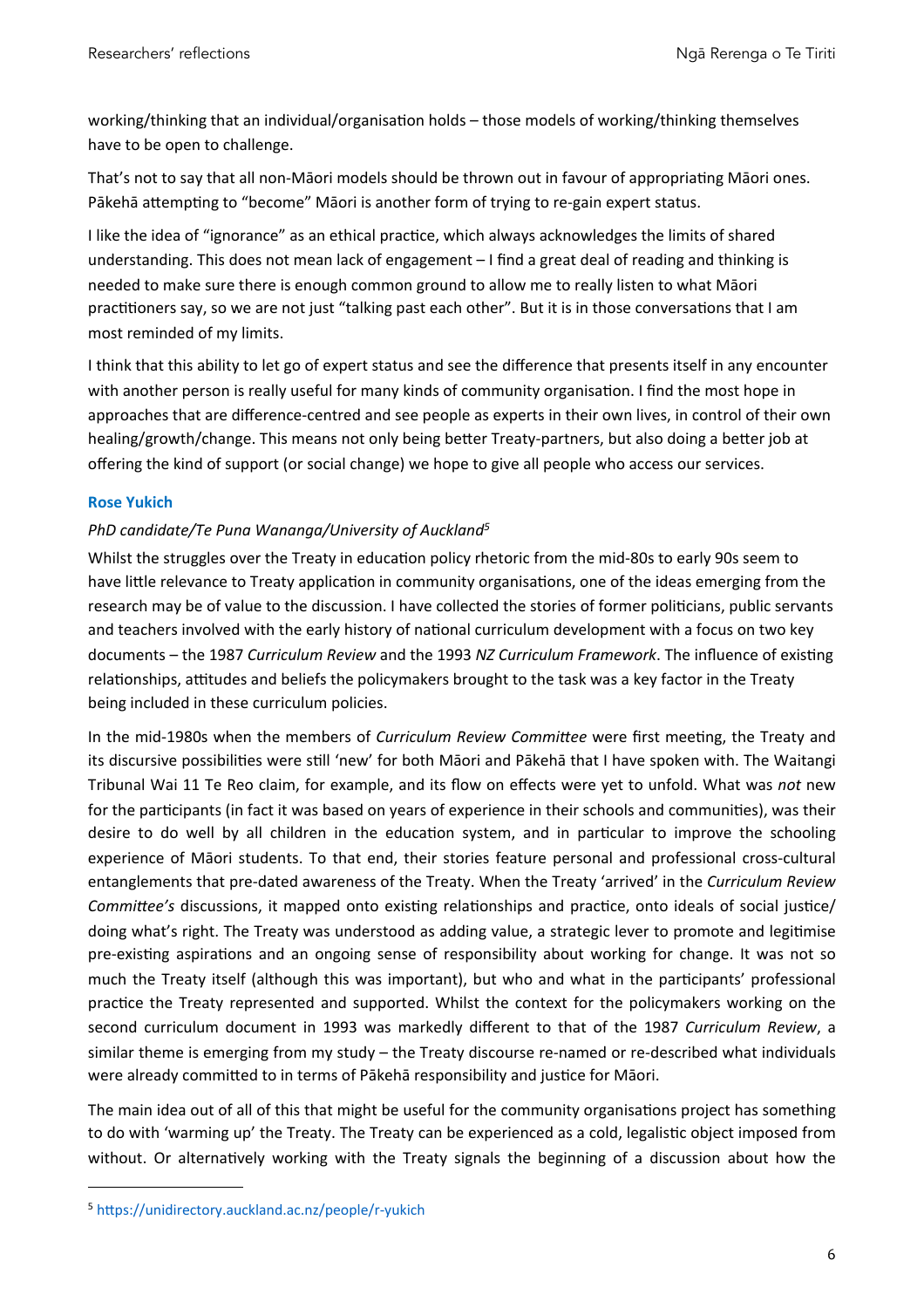working/thinking that an individual/organisation holds – those models of working/thinking themselves have to be open to challenge.

That's not to say that all non-Māori models should be thrown out in favour of appropriating Māori ones. Pākehā attempting to "become" Māori is another form of trying to re-gain expert status.

I like the idea of "ignorance" as an ethical practice, which always acknowledges the limits of shared understanding. This does not mean lack of engagement – I find a great deal of reading and thinking is needed to make sure there is enough common ground to allow me to really listen to what Māori practitioners say, so we are not just "talking past each other". But it is in those conversations that I am most reminded of my limits.

I think that this ability to let go of expert status and see the difference that presents itself in any encounter with another person is really useful for many kinds of community organisation. I find the most hope in approaches that are difference-centred and see people as experts in their own lives, in control of their own healing/growth/change. This means not only being better Treaty-partners, but also doing a better job at offering the kind of support (or social change) we hope to give all people who access our services.

# **Rose Yukich**

# *PhD candidate/Te Puna Wananga/University of Auckland<sup>[5](#page-5-0)</sup>*

Whilst the struggles over the Treaty in education policy rhetoric from the mid-80s to early 90s seem to have little relevance to Treaty application in community organisations, one of the ideas emerging from the research may be of value to the discussion. I have collected the stories of former politicians, public servants and teachers involved with the early history of national curriculum development with a focus on two key documents – the 1987 *Curriculum Review* and the 1993 *NZ Curriculum Framework*. The influence of existing relationships, attitudes and beliefs the policymakers brought to the task was a key factor in the Treaty being included in these curriculum policies.

In the mid-1980s when the members of *Curriculum Review Committee* were first meeting, the Treaty and its discursive possibilities were still 'new' for both Māori and Pākehā that I have spoken with. The Waitangi Tribunal Wai 11 Te Reo claim, for example, and its flow on effects were yet to unfold. What was *not* new for the participants (in fact it was based on years of experience in their schools and communities), was their desire to do well by all children in the education system, and in particular to improve the schooling experience of Māori students. To that end, their stories feature personal and professional cross-cultural entanglements that pre-dated awareness of the Treaty. When the Treaty 'arrived' in the *Curriculum Review Committee's* discussions, it mapped onto existing relationships and practice, onto ideals of social justice/ doing what's right. The Treaty was understood as adding value, a strategic lever to promote and legitimise pre-existing aspirations and an ongoing sense of responsibility about working for change. It was not so much the Treaty itself (although this was important), but who and what in the participants' professional practice the Treaty represented and supported. Whilst the context for the policymakers working on the second curriculum document in 1993 was markedly different to that of the 1987 *Curriculum Review*, a similar theme is emerging from my study – the Treaty discourse re-named or re-described what individuals were already committed to in terms of Pākehā responsibility and justice for Māori.

The main idea out of all of this that might be useful for the community organisations project has something to do with 'warming up' the Treaty. The Treaty can be experienced as a cold, legalistic object imposed from without. Or alternatively working with the Treaty signals the beginning of a discussion about how the

<span id="page-5-0"></span><sup>5</sup> https://unidirectory.auckland.ac.nz/people/r-yukich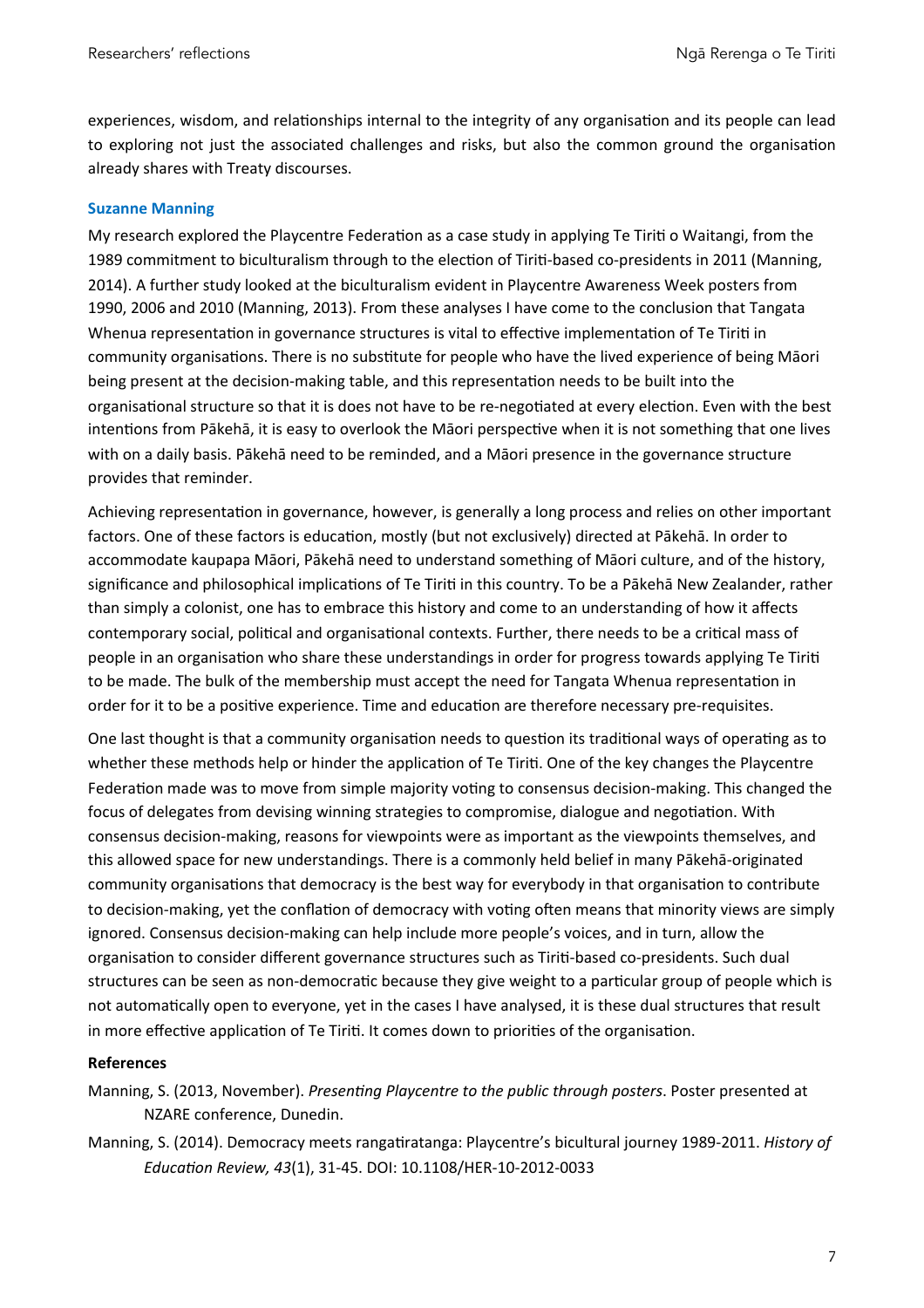experiences, wisdom, and relationships internal to the integrity of any organisation and its people can lead to exploring not just the associated challenges and risks, but also the common ground the organisation already shares with Treaty discourses.

#### **Suzanne Manning**

My research explored the Playcentre Federation as a case study in applying Te Tiriti o Waitangi, from the 1989 commitment to biculturalism through to the election of Tiriti-based co-presidents in 2011 (Manning, 2014). A further study looked at the biculturalism evident in Playcentre Awareness Week posters from 1990, 2006 and 2010 (Manning, 2013). From these analyses I have come to the conclusion that Tangata Whenua representation in governance structures is vital to effective implementation of Te Tiriti in community organisations. There is no substitute for people who have the lived experience of being Māori being present at the decision-making table, and this representation needs to be built into the organisational structure so that it is does not have to be re-negotiated at every election. Even with the best intentions from Pākehā, it is easy to overlook the Māori perspective when it is not something that one lives with on a daily basis. Pākehā need to be reminded, and a Māori presence in the governance structure provides that reminder.

Achieving representation in governance, however, is generally a long process and relies on other important factors. One of these factors is education, mostly (but not exclusively) directed at Pākehā. In order to accommodate kaupapa Māori, Pākehā need to understand something of Māori culture, and of the history, significance and philosophical implications of Te Tiriti in this country. To be a Pākehā New Zealander, rather than simply a colonist, one has to embrace this history and come to an understanding of how it affects contemporary social, political and organisational contexts. Further, there needs to be a critical mass of people in an organisation who share these understandings in order for progress towards applying Te Tiriti to be made. The bulk of the membership must accept the need for Tangata Whenua representation in order for it to be a positive experience. Time and education are therefore necessary pre-requisites.

One last thought is that a community organisation needs to question its traditional ways of operating as to whether these methods help or hinder the application of Te Tiriti. One of the key changes the Playcentre Federation made was to move from simple majority voting to consensus decision-making. This changed the focus of delegates from devising winning strategies to compromise, dialogue and negotiation. With consensus decision-making, reasons for viewpoints were as important as the viewpoints themselves, and this allowed space for new understandings. There is a commonly held belief in many Pākehā-originated community organisations that democracy is the best way for everybody in that organisation to contribute to decision-making, yet the conflation of democracy with voting often means that minority views are simply ignored. Consensus decision-making can help include more people's voices, and in turn, allow the organisation to consider different governance structures such as Tiriti-based co-presidents. Such dual structures can be seen as non-democratic because they give weight to a particular group of people which is not automatically open to everyone, yet in the cases I have analysed, it is these dual structures that result in more effective application of Te Tiriti. It comes down to priorities of the organisation.

#### **References**

Manning, S. (2013, November). *Presenting Playcentre to the public through posters*. Poster presented at NZARE conference, Dunedin.

Manning, S. (2014). Democracy meets rangatiratanga: Playcentre's bicultural journey 1989-2011. *History of Educa8on Review, 43*(1), 31-45. DOI: 10.1108/HER-10-2012-0033